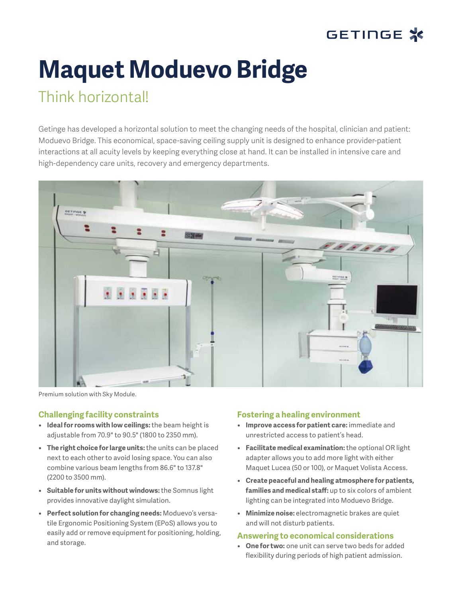

# **Maquet Moduevo Bridge**

# Think horizontal!

Getinge has developed a horizontal solution to meet the changing needs of the hospital, clinician and patient: Moduevo Bridge. This economical, space-saving ceiling supply unit is designed to enhance provider-patient interactions at all acuity levels by keeping everything close at hand. It can be installed in intensive care and high-dependency care units, recovery and emergency departments.



Premium solution with Sky Module.

## **Challenging facility constraints**

- **• Ideal for rooms with low ceilings:** the beam height is adjustable from 70.9" to 90.5" (1800 to 2350 mm).
- **• The right choice for large units:** the units can be placed next to each other to avoid losing space. You can also combine various beam lengths from 86.6" to 137.8" (2200 to 3500 mm).
- **• Suitable for units without windows:** the Somnus light provides innovative daylight simulation.
- **• Perfect solution for changing needs:** Moduevo's versatile Ergonomic Positioning System (EPoS) allows you to easily add or remove equipment for positioning, holding, and storage.

### **Fostering a healing environment**

- **• Improve access for patient care:** immediate and unrestricted access to patient's head.
- **• Facilitate medical examination:** the optional OR light adapter allows you to add more light with either Maquet Lucea (50 or 100), or Maquet Volista Access.
- **• Create peaceful and healing atmosphere for patients, families and medical staff:** up to six colors of ambient lighting can be integrated into Moduevo Bridge.
- **• Minimize noise:** electromagnetic brakes are quiet and will not disturb patients.

### **Answering to economical considerations**

**• One for two:** one unit can serve two beds for added flexibility during periods of high patient admission.